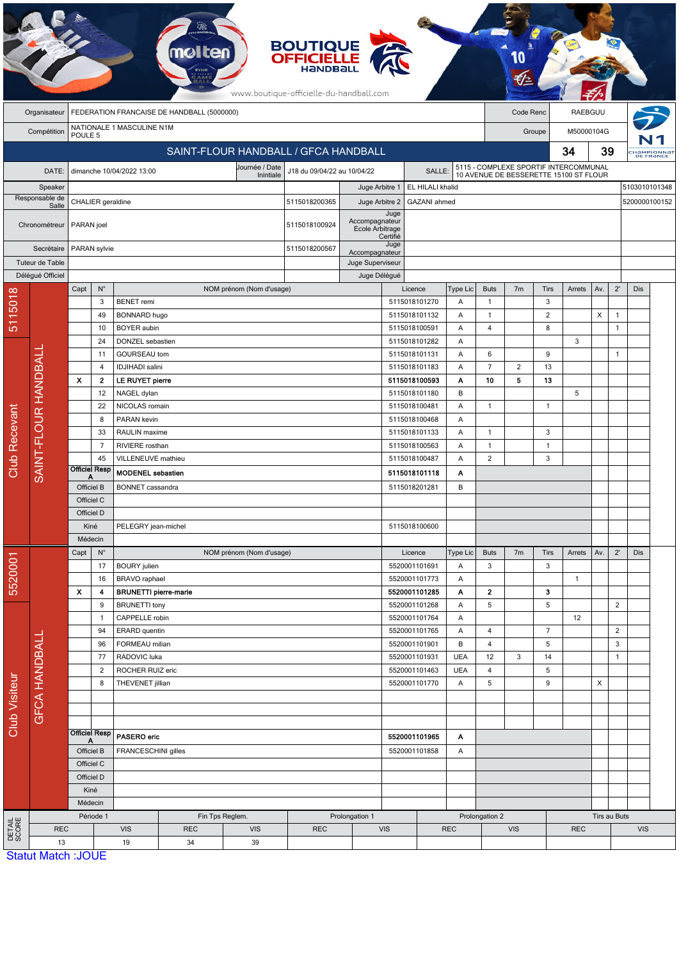|                                                                         |                                                                |                                                    |                      |                                                      |                 |                                      | <b>BOUTIQUE</b><br><b>OFFICIELLE</b><br><b>HandBal</b><br>www.boutique-officielle-du-handball.com |                                   |                                    |                                |                |                                                                                 |                |                              |                |            |                              |               |                         |
|-------------------------------------------------------------------------|----------------------------------------------------------------|----------------------------------------------------|----------------------|------------------------------------------------------|-----------------|--------------------------------------|---------------------------------------------------------------------------------------------------|-----------------------------------|------------------------------------|--------------------------------|----------------|---------------------------------------------------------------------------------|----------------|------------------------------|----------------|------------|------------------------------|---------------|-------------------------|
| FEDERATION FRANCAISE DE HANDBALL (5000000)<br>Code Renc<br>Organisateur |                                                                |                                                    |                      |                                                      |                 |                                      |                                                                                                   |                                   | RAEBGUU                            |                                |                |                                                                                 |                |                              |                |            |                              |               |                         |
|                                                                         | NATIONALE 1 MASCULINE N1M<br>Compétition<br>POULE <sub>5</sub> |                                                    |                      |                                                      |                 |                                      |                                                                                                   |                                   |                                    |                                |                |                                                                                 | Groupe         |                              |                | M50000104G |                              |               |                         |
|                                                                         |                                                                |                                                    |                      |                                                      |                 | SAINT-FLOUR HANDBALL / GFCA HANDBALL |                                                                                                   |                                   |                                    |                                |                |                                                                                 |                |                              | 34<br>39       |            |                              |               | HaMPIONNAT<br>DE FRANCE |
|                                                                         |                                                                |                                                    |                      | dimanche 10/04/2022 13:00                            |                 | Journée / Date                       | J18 du 09/04/22 au 10/04/22                                                                       |                                   |                                    | SALLE:                         |                |                                                                                 |                |                              |                |            |                              |               |                         |
| DATE:                                                                   |                                                                |                                                    |                      |                                                      |                 | Inintiale                            |                                                                                                   |                                   | EL HILALI khalid<br>Juge Arbitre 1 |                                |                | 5115 - COMPLEXE SPORTIF INTERCOMMUNAL<br>10 AVENUE DE BESSERETTE 15100 ST FLOUR |                |                              |                |            | 5103010101348                |               |                         |
| Speaker<br>Responsable de                                               |                                                                | CHALIER geraldine                                  |                      |                                                      |                 |                                      | 5115018200365                                                                                     | Juge Arbitre 2                    |                                    | GAZANI ahmed                   |                |                                                                                 |                |                              |                |            |                              | 5200000100152 |                         |
|                                                                         | Salle                                                          | PARAN joel                                         |                      |                                                      |                 |                                      |                                                                                                   |                                   | Juge                               |                                |                |                                                                                 |                |                              |                |            |                              |               |                         |
|                                                                         | Chronométreur                                                  |                                                    |                      |                                                      |                 |                                      | 5115018100924                                                                                     | Accompagnateur<br>Ecole Arbitrage | Certifié                           |                                |                |                                                                                 |                |                              |                |            |                              |               |                         |
|                                                                         | Secrétaire                                                     |                                                    | PARAN sylvie         |                                                      |                 |                                      | 5115018200567                                                                                     | Accompagnateur                    |                                    | Juge                           |                |                                                                                 |                |                              |                |            |                              |               |                         |
|                                                                         | Tuteur de Table                                                |                                                    |                      |                                                      |                 |                                      |                                                                                                   | Juge Superviseur                  |                                    |                                |                |                                                                                 |                |                              |                |            |                              |               |                         |
|                                                                         | Délégué Officiel                                               |                                                    |                      |                                                      |                 |                                      |                                                                                                   |                                   | Juge Délégué                       |                                |                |                                                                                 |                |                              |                |            |                              |               |                         |
|                                                                         |                                                                | Capt                                               | $N^{\circ}$          |                                                      |                 | NOM prénom (Nom d'usage)             |                                                                                                   |                                   |                                    | Licence                        | Type Lic       | <b>Buts</b>                                                                     | 7 <sub>m</sub> | Tirs                         | Arrets         | Av.        | $2^{\prime}$                 | Dis           |                         |
|                                                                         |                                                                |                                                    | 3                    | <b>BENET</b> remi                                    |                 |                                      |                                                                                                   |                                   |                                    | 5115018101270                  | Α              | $\mathbf{1}$                                                                    |                | 3                            |                |            |                              |               |                         |
| 5115018                                                                 |                                                                |                                                    | 49<br>10             | BONNARD hugo<br><b>BOYER</b> aubin                   |                 |                                      |                                                                                                   |                                   |                                    | 5115018101132<br>5115018100591 | Α<br>Α         | $\mathbf{1}$<br>4                                                               |                | $\overline{\mathbf{c}}$<br>8 |                | Х          | $\mathbf{1}$<br>$\mathbf{1}$ |               |                         |
|                                                                         |                                                                |                                                    | 24                   | DONZEL sebastien                                     |                 |                                      |                                                                                                   |                                   |                                    | 5115018101282                  | Α              |                                                                                 |                |                              | 3              |            |                              |               |                         |
|                                                                         |                                                                |                                                    | 11                   | GOURSEAU tom                                         |                 |                                      |                                                                                                   |                                   |                                    | 5115018101131                  | Α              | $\boldsymbol{6}$                                                                |                | 9                            |                |            | $\mathbf{1}$                 |               |                         |
|                                                                         |                                                                |                                                    | 4                    | <b>IDJIHADI</b> salini                               |                 |                                      |                                                                                                   |                                   |                                    | 5115018101183                  | Α              | $\overline{7}$                                                                  | $\overline{c}$ | 13                           |                |            |                              |               |                         |
|                                                                         |                                                                | $\boldsymbol{\mathsf{x}}$                          | $\mathbf{2}$         | LE RUYET pierre                                      |                 |                                      |                                                                                                   |                                   | 5115018100593<br>5115018101180     |                                | Α              | 10                                                                              | 5              | 13                           |                |            |                              |               |                         |
|                                                                         |                                                                |                                                    | 12                   | NAGEL dylan                                          |                 |                                      |                                                                                                   |                                   |                                    |                                | B              |                                                                                 |                |                              | 5              |            |                              |               |                         |
|                                                                         |                                                                |                                                    | 22                   | NICOLAS romain                                       |                 |                                      |                                                                                                   | 5115018100481                     | Α                                  | 1                              |                | $\mathbf{1}$                                                                    |                |                              |                |            |                              |               |                         |
|                                                                         | SAINT-FLOUR HANDBALI                                           |                                                    | 8                    | PARAN kevin                                          |                 |                                      | 5115018100468                                                                                     |                                   |                                    |                                | Α              |                                                                                 |                |                              |                |            |                              |               |                         |
|                                                                         |                                                                |                                                    | 33                   | RAULIN maxime                                        |                 |                                      |                                                                                                   |                                   |                                    | 5115018101133                  | Α              | $\mathbf{1}$                                                                    |                | 3                            |                |            |                              |               |                         |
|                                                                         |                                                                |                                                    | $\overline{7}$<br>45 | RIVIERE rosthan<br>VILLENEUVE mathieu                |                 |                                      |                                                                                                   |                                   |                                    | 5115018100563<br>5115018100487 | Α<br>Α         | $\mathbf{1}$<br>$\sqrt{2}$                                                      |                | $\mathbf{1}$<br>3            |                |            |                              |               |                         |
| Club Recevant                                                           |                                                                |                                                    | <b>Officiel Resp</b> | <b>MODENEL</b> sebastien                             |                 |                                      |                                                                                                   |                                   | 5115018101118                      | Α                              |                |                                                                                 |                |                              |                |            |                              |               |                         |
|                                                                         |                                                                | Officiel B                                         |                      | <b>BONNET</b> cassandra                              |                 |                                      |                                                                                                   |                                   |                                    | 5115018201281                  | В              |                                                                                 |                |                              |                |            |                              |               |                         |
|                                                                         |                                                                | Officiel C                                         |                      |                                                      |                 |                                      |                                                                                                   |                                   |                                    |                                |                |                                                                                 |                |                              |                |            |                              |               |                         |
|                                                                         |                                                                | Officiel D                                         |                      |                                                      |                 |                                      |                                                                                                   |                                   |                                    |                                |                |                                                                                 |                |                              |                |            |                              |               |                         |
|                                                                         |                                                                | Kiné                                               |                      | PELEGRY jean-michel                                  |                 |                                      |                                                                                                   |                                   |                                    | 5115018100600                  |                |                                                                                 |                |                              |                |            |                              |               |                         |
|                                                                         |                                                                | Médecin                                            |                      |                                                      |                 |                                      |                                                                                                   |                                   |                                    |                                |                |                                                                                 |                |                              |                |            |                              |               |                         |
|                                                                         |                                                                | Capt                                               | $\mathsf{N}^\circ$   |                                                      |                 | NOM prénom (Nom d'usage)             |                                                                                                   |                                   |                                    | Licence                        | Type Lic       | <b>Buts</b>                                                                     | 7 <sub>m</sub> | Tirs                         | Arrets         | Av.        | $2^{\prime}$                 | Dis           |                         |
| 5520001                                                                 |                                                                |                                                    | 17                   | <b>BOURY</b> julien                                  |                 |                                      |                                                                                                   |                                   |                                    | 5520001101691                  | Α              | $\mathbf{3}$                                                                    |                | 3                            |                |            |                              |               |                         |
|                                                                         |                                                                | 16<br>$\pmb{\chi}$<br>4<br>9<br>$\mathbf{1}$<br>94 |                      | BRAVO raphael                                        |                 |                                      |                                                                                                   |                                   |                                    | 5520001101773                  | Α              |                                                                                 |                |                              | $\mathbf{1}$   |            |                              |               |                         |
|                                                                         |                                                                |                                                    |                      | <b>BRUNETTI</b> pierre-marie<br><b>BRUNETTI</b> tony |                 |                                      |                                                                                                   |                                   |                                    | 5520001101285<br>5520001101268 | Α<br>Α         | $\mathbf{2}$<br>5                                                               |                | 3<br>5                       |                |            | $\overline{2}$               |               |                         |
|                                                                         |                                                                |                                                    |                      | CAPPELLE robin                                       |                 |                                      |                                                                                                   |                                   |                                    | 5520001101764                  | Α              |                                                                                 |                |                              | 12             |            |                              |               |                         |
|                                                                         |                                                                |                                                    |                      | ERARD quentin                                        |                 |                                      |                                                                                                   |                                   |                                    | 5520001101765                  | Α              | $\overline{4}$                                                                  |                | $\overline{7}$               |                |            | $\overline{2}$               |               |                         |
|                                                                         |                                                                |                                                    | 96                   | FORMEAU milian                                       |                 |                                      |                                                                                                   | 5520001101901                     |                                    | В                              | $\overline{4}$ |                                                                                 | 5              |                              |                | 3          |                              |               |                         |
|                                                                         |                                                                |                                                    | 77                   | RADOVIC luka                                         |                 |                                      |                                                                                                   |                                   |                                    | 5520001101931                  | <b>UEA</b>     | 12                                                                              | 3              | 14                           |                |            | $\mathbf{1}$                 |               |                         |
|                                                                         |                                                                |                                                    | $\overline{2}$       | ROCHER RUIZ eric                                     |                 |                                      |                                                                                                   |                                   |                                    | 5520001101463                  | <b>UEA</b>     | $\overline{\mathbf{4}}$                                                         |                | 5                            |                |            |                              |               |                         |
|                                                                         |                                                                |                                                    | 8                    | THEVENET jillian                                     |                 |                                      |                                                                                                   | 5520001101770                     |                                    | Α                              | 5              |                                                                                 | 9              |                              | $\pmb{\times}$ |            |                              |               |                         |
|                                                                         |                                                                |                                                    |                      |                                                      |                 |                                      |                                                                                                   |                                   |                                    |                                |                |                                                                                 |                |                              |                |            |                              |               |                         |
| <b>Club Visiteur</b>                                                    | GFCA HANDBALL                                                  |                                                    |                      |                                                      |                 |                                      |                                                                                                   |                                   |                                    |                                |                |                                                                                 |                |                              |                |            |                              |               |                         |
|                                                                         |                                                                |                                                    | <b>Officiel Resp</b> | PASERO eric                                          |                 |                                      |                                                                                                   | 5520001101965<br>A                |                                    |                                |                |                                                                                 |                |                              |                |            |                              |               |                         |
|                                                                         |                                                                | Officiel B                                         |                      | FRANCESCHINI gilles                                  |                 |                                      | 5520001101858<br>Α                                                                                |                                   |                                    |                                |                |                                                                                 |                |                              |                |            |                              |               |                         |
|                                                                         |                                                                | Officiel C                                         |                      |                                                      |                 |                                      |                                                                                                   |                                   |                                    |                                |                |                                                                                 |                |                              |                |            |                              |               |                         |
|                                                                         |                                                                | Officiel D                                         |                      |                                                      |                 |                                      |                                                                                                   |                                   |                                    |                                |                |                                                                                 |                |                              |                |            |                              |               |                         |
|                                                                         |                                                                |                                                    | Kiné                 |                                                      |                 |                                      |                                                                                                   |                                   |                                    |                                |                |                                                                                 |                |                              |                |            |                              |               |                         |
|                                                                         |                                                                |                                                    | Médecin              |                                                      |                 |                                      |                                                                                                   |                                   |                                    |                                |                |                                                                                 |                |                              |                |            |                              |               |                         |
|                                                                         |                                                                |                                                    | Période 1            |                                                      | Fin Tps Reglem. | Prolongation 1                       |                                                                                                   |                                   |                                    |                                | Prolongation 2 |                                                                                 |                | Tirs au Buts                 |                |            |                              |               |                         |
| DETAIL<br>SCORE                                                         | <b>REC</b>                                                     |                                                    |                      | <b>VIS</b><br><b>REC</b><br><b>VIS</b>               |                 | <b>REC</b>                           |                                                                                                   | VIS                               |                                    | <b>VIS</b><br><b>REC</b>       |                |                                                                                 | <b>REC</b>     |                              |                | <b>VIS</b> |                              |               |                         |
|                                                                         | 13<br><b>Statut Match: JOUE</b>                                |                                                    |                      | 19                                                   | 34              | 39                                   |                                                                                                   |                                   |                                    |                                |                |                                                                                 |                |                              |                |            |                              |               |                         |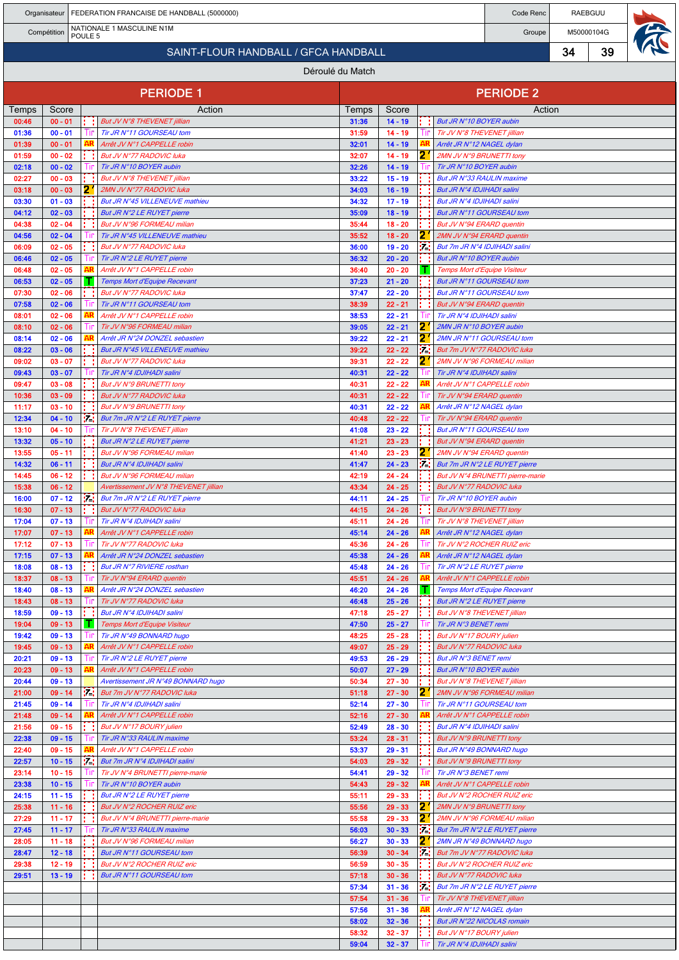|                |                        |                    |     | Organisateur   FEDERATION FRANCAISE DE HANDBALL (5000000)              | Code Renc      | RAEBGUU                |          |                                                           |                                  |    |    |  |
|----------------|------------------------|--------------------|-----|------------------------------------------------------------------------|----------------|------------------------|----------|-----------------------------------------------------------|----------------------------------|----|----|--|
|                | Compétition            | POULE <sub>5</sub> |     | NATIONALE 1 MASCULINE N1M                                              | Groupe         | M50000104G             |          |                                                           |                                  |    |    |  |
|                |                        |                    |     | SAINT-FLOUR HANDBALL / GFCA HANDBALL                                   |                |                        |          |                                                           |                                  | 34 | 39 |  |
|                |                        |                    |     |                                                                        |                |                        |          |                                                           |                                  |    |    |  |
|                |                        |                    |     | Déroulé du Match                                                       |                |                        |          |                                                           |                                  |    |    |  |
|                |                        |                    |     | <b>PERIODE 1</b>                                                       |                |                        |          |                                                           | <b>PERIODE 2</b>                 |    |    |  |
| Temps          | Score                  |                    |     | Action                                                                 | Temps          | Score                  |          |                                                           | Action                           |    |    |  |
| 00:46<br>01:36 | $00 - 01$<br>$00 - 01$ |                    |     | But JV N°8 THEVENET jillian<br>Tir JR N°11 GOURSEAU tom                | 31:36<br>31:59 | $14 - 19$<br>$14 - 19$ | . .      | But JR N°10 BOYER aubin<br>Tir JV N°8 THEVENET jillian    |                                  |    |    |  |
| 01:39          | $00 - 01$              |                    |     | Arrêt JV N°1 CAPPELLE robin                                            | 32:01          | $14 - 19$              |          | Arrêt JR N°12 NAGEL dylan                                 |                                  |    |    |  |
| 01:59          | $00 - 02$              |                    |     | But JV N°77 RADOVIC luka                                               | 32:07          | $14 - 19$              | 21       | 2MN JV N°9 BRUNETTI tony                                  |                                  |    |    |  |
| 02:18          | $00 - 02$              |                    |     | Tir JR N°10 BOYER aubin                                                | 32:26          | $14 - 19$              |          | Tir JR N°10 BOYER aubin                                   |                                  |    |    |  |
| 02:27<br>03:18 | $00 - 03$<br>$00 - 03$ |                    | 2.  | But JV N°8 THEVENET jillian<br>2MN JV N°77 RADOVIC luka                | 33:22<br>34:03 | $15 - 19$<br>$16 - 19$ |          | But JR N°33 RAULIN maxime<br>But JR N°4 IDJIHADI salini   |                                  |    |    |  |
| 03:30          | $01 - 03$              |                    |     | But JR N°45 VILLENEUVE mathieu                                         | 34:32          | $17 - 19$              |          | But JR N°4 IDJIHADI salini                                |                                  |    |    |  |
| 04:12          | $02 - 03$              |                    |     | But JR N°2 LE RUYET pierre                                             | 35:09          | $18 - 19$              |          | But JR N°11 GOURSEAU tom                                  |                                  |    |    |  |
| 04:38          | $02 - 04$              |                    |     | But JV N°96 FORMEAU milian                                             | 35:44          | $18 - 20$              |          | But JV N°94 ERARD quentin                                 |                                  |    |    |  |
| 04:56          | $02 - 04$              |                    |     | Tir JR N°45 VILLENEUVE mathieu                                         | 35:52          | $18 - 20$              | 2        | 2MN JV N°94 ERARD quentin                                 |                                  |    |    |  |
| 06:09<br>06:46 | $02 - 05$<br>$02 - 05$ |                    |     | But JV N°77 RADOVIC luka<br>Tir JR N°2 LE RUYET pierre                 | 36:00<br>36:32 | $19 - 20$<br>$20 - 20$ | . .      | But 7m JR N°4 IDJIHADI salini<br>But JR N°10 BOYER aubin  |                                  |    |    |  |
| 06:48          | $02 - 05$              |                    |     | Arrêt JV N°1 CAPPELLE robin                                            | 36:40          | $20 - 20$              |          | Temps Mort d'Equipe Visiteur                              |                                  |    |    |  |
| 06:53          | $02 - 05$              |                    |     | Temps Mort d'Equipe Recevant                                           | 37:23          | $21 - 20$              |          | But JR N°11 GOURSEAU tom                                  |                                  |    |    |  |
| 07:30          | $02 - 06$              |                    |     | But JV N°77 RADOVIC luka                                               | 37:47          | $22 - 20$              |          | But JR N°11 GOURSEAU tom                                  |                                  |    |    |  |
| 07:58<br>08:01 | $02 - 06$<br>$02 - 06$ |                    |     | Tir JR N°11 GOURSEAU tom<br>Arrêt JV N°1 CAPPELLE robin                | 38:39<br>38:53 | $22 - 21$<br>$22 - 21$ |          | But JV N°94 ERARD quentin<br>Tir JR N°4 IDJIHADI salini   |                                  |    |    |  |
| 08:10          | $02 - 06$              |                    |     | Tir JV N°96 FORMEAU milian                                             | 39:05          | $22 - 21$              | 21       | 2MN JR N°10 BOYER aubin                                   |                                  |    |    |  |
| 08:14          | $02 - 06$              |                    |     | Arrêt JR N°24 DONZEL sebastien                                         | 39:22          | $22 - 21$              | 2        | 2MN JR N°11 GOURSEAU tom                                  |                                  |    |    |  |
| 08:22          | $03 - 06$              |                    |     | But JR N°45 VILLENEUVE mathieu                                         | 39:22          | $22 - 22$              | 57.      | But 7m JV N°77 RADOVIC luka                               |                                  |    |    |  |
| 09:02          | $03 - 07$              |                    |     | But JV N°77 RADOVIC luka                                               | 39:31          | $22 - 22$              | 21       | 2MN JV N°96 FORMEAU milian                                |                                  |    |    |  |
| 09:43<br>09:47 | $03 - 07$<br>$03 - 08$ |                    |     | Tir JR N°4 IDJIHADI salini<br>But JV N°9 BRUNETTI tony                 | 40:31<br>40:31 | $22 - 22$<br>$22 - 22$ | AR       | Tir JR N°4 IDJIHADI salini<br>Arrêt JV N°1 CAPPELLE robin |                                  |    |    |  |
| 10:36          | $03 - 09$              |                    |     | But JV N°77 RADOVIC luka                                               | 40:31          | $22 - 22$              |          | Tir JV N°94 ERARD quentin                                 |                                  |    |    |  |
| 11:17          | $03 - 10$              |                    |     | But JV N°9 BRUNETTI tony                                               | 40:31          | $22 - 22$              |          | Arrêt JR N°12 NAGEL dylan                                 |                                  |    |    |  |
| 12:34          | $04 - 10$              |                    | ь.  | But 7m JR N°2 LE RUYET pierre                                          | 40:48          | $22 - 22$              |          | Tir JV N°94 ERARD quentin                                 |                                  |    |    |  |
| 13:10<br>13:32 | $04 - 10$<br>$05 - 10$ |                    |     | Tir JV N°8 THEVENET jillian<br>But JR N°2 LE RUYET pierre              | 41:08<br>41:21 | $23 - 22$<br>$23 - 23$ |          | But JR N°11 GOURSEAU tom<br>But JV N°94 ERARD quentin     |                                  |    |    |  |
| 13:55          | $05 - 11$              |                    |     | But JV N°96 FORMEAU milian                                             | 41:40          | $23 - 23$              | 21       | 2MN JV N°94 ERARD quentin                                 |                                  |    |    |  |
| 14:32          | $06 - 11$              |                    |     | But JR N°4 IDJIHADI salini                                             | 41:47          | $24 - 23$              | . .      |                                                           | But 7m JR N°2 LE RUYET pierre    |    |    |  |
| 14:45          | $06 - 12$              |                    |     | But JV N°96 FORMEAU milian                                             | 42:19          | $24 - 24$              |          |                                                           | But JV N°4 BRUNETTI pierre-marie |    |    |  |
| 15:38<br>16:00 | $06 - 12$<br>$07 - 12$ |                    | и.  | Avertissement JV N°8 THEVENET jillian<br>But 7m JR N°2 LE RUYET pierre | 43:34<br>44:11 | $24 - 25$<br>$24 - 25$ |          | But JV N°77 RADOVIC luka<br>Tir JR N°10 BOYER aubin       |                                  |    |    |  |
| 16:30          | $07 - 13$              |                    |     | But JV N°77 RADOVIC luka                                               | 44:15          | $24 - 26$              |          | But JV N°9 BRUNETTI tony                                  |                                  |    |    |  |
| 17:04          | $07 - 13$              |                    |     | Tir JR N°4 IDJIHADI salini                                             | 45:11          | $24 - 26$              |          | IIF Tir JV N°8 THEVENET jillian                           |                                  |    |    |  |
| 17:07          | $07 - 13$              |                    |     | Arrêt JV N°1 CAPPELLE robin                                            | 45:14          | $24 - 26$              | AR       | Arrêt JR N°12 NAGEL dylan                                 |                                  |    |    |  |
| 17:12<br>17:15 | $07 - 13$<br>$07 - 13$ |                    |     | Tir JV N°77 RADOVIC luka<br>Arrêt JR N°24 DONZEL sebastien             | 45:36<br>45:38 | $24 - 26$<br>$24 - 26$ |          | Tir JV N°2 ROCHER RUIZ eric<br>Arrêt JR N°12 NAGEL dylan  |                                  |    |    |  |
| 18:08          | $08 - 13$              |                    |     | But JR N°7 RIVIERE rosthan                                             | 45:48          | $24 - 26$              |          | Tir JR N°2 LE RUYET pierre                                |                                  |    |    |  |
| 18:37          | $08 - 13$              |                    |     | Tir JV N°94 ERARD quentin                                              | 45:51          | $24 - 26$              | AR       | Arrêt JV N°1 CAPPELLE robin                               |                                  |    |    |  |
| 18:40          | $08 - 13$              |                    |     | Arrêt JR N°24 DONZEL sebastien                                         | 46:20          | $24 - 26$              |          | Temps Mort d'Equipe Recevant                              |                                  |    |    |  |
| 18:43<br>18:59 | $08 - 13$<br>$09 - 13$ |                    |     | Tir JV N°77 RADOVIC luka<br>But JR N°4 IDJIHADI salini                 | 46:48<br>47:18 | $25 - 26$<br>$25 - 27$ |          | But JR N°2 LE RUYET pierre<br>But JV N°8 THEVENET jillian |                                  |    |    |  |
| 19:04          | $09 - 13$              |                    |     | <b>Temps Mort d'Equipe Visiteur</b>                                    | 47:50          | $25 - 27$              |          | Tir JR N°3 BENET remi                                     |                                  |    |    |  |
| 19:42          | $09 - 13$              |                    |     | Tir JR N°49 BONNARD hugo                                               | 48:25          | $25 - 28$              |          | But JV N°17 BOURY julien                                  |                                  |    |    |  |
| 19:45          | $09 - 13$              |                    |     | Arrêt JV N°1 CAPPELLE robin                                            | 49:07          | $25 - 29$              |          | But JV N°77 RADOVIC luka                                  |                                  |    |    |  |
| 20:21<br>20:23 | $09 - 13$<br>$09 - 13$ |                    |     | Tir JR N°2 LE RUYET pierre<br>Arrêt JV N°1 CAPPELLE robin              | 49:53<br>50:07 | $26 - 29$<br>$27 - 29$ |          | <b>But JR N°3 BENET remi</b><br>But JR N°10 BOYER aubin   |                                  |    |    |  |
| 20:44          | $09 - 13$              |                    |     | Avertissement JR N°49 BONNARD hugo                                     | 50:34          | $27 - 30$              |          | But JV N°8 THEVENET jillian                               |                                  |    |    |  |
| 21:00          | $09 - 14$              |                    | P.  | But 7m JV N°77 RADOVIC luka                                            | 51:18          | $27 - 30$              | 21       | 2MN JV N°96 FORMEAU milian                                |                                  |    |    |  |
| 21:45          | $09 - 14$              |                    |     | Tir JR N°4 IDJIHADI salini                                             | 52:14          | $27 - 30$              |          | Tir JR N°11 GOURSEAU tom                                  |                                  |    |    |  |
| 21:48<br>21:56 | $09 - 14$<br>$09 - 15$ |                    |     | Arrêt JV N°1 CAPPELLE robin<br>But JV N°17 BOURY julien                | 52:16<br>52:49 | $27 - 30$<br>$28 - 30$ | AR       | Arrêt JV N°1 CAPPELLE robin<br>But JR N°4 IDJIHADI salini |                                  |    |    |  |
| 22:38          | $09 - 15$              |                    |     | Tir JR N°33 RAULIN maxime                                              | 53:24          | $28 - 31$              |          | But JV N°9 BRUNETTI tony                                  |                                  |    |    |  |
| 22:40          | $09 - 15$              |                    |     | Arrêt JV N°1 CAPPELLE robin                                            | 53:37          | $29 - 31$              |          | But JR N°49 BONNARD hugo                                  |                                  |    |    |  |
| 22:57          | $10 - 15$              |                    | : : | But 7m JR N°4 IDJIHADI salini                                          | 54:03          | $29 - 32$              |          | But JV N°9 BRUNETTI tony                                  |                                  |    |    |  |
| 23:14<br>23:38 | $10 - 15$<br>$10 - 15$ |                    |     | Tir JV N°4 BRUNETTI pierre-marie<br>Tir JR N°10 BOYER aubin            | 54:41<br>54:43 | $29 - 32$<br>$29 - 32$ | ۹R       | Tir JR N°3 BENET remi<br>Arrêt JV N°1 CAPPELLE robin      |                                  |    |    |  |
| 24:15          | $11 - 15$              |                    |     | But JR N°2 LE RUYET pierre                                             | 55:11          | $29 - 33$              |          | But JV N°2 ROCHER RUIZ eric                               |                                  |    |    |  |
| 25:38          | $11 - 16$              |                    |     | But JV N°2 ROCHER RUIZ eric                                            | 55:56          | $29 - 33$              | 2        | 2MN JV N°9 BRUNETTI tony                                  |                                  |    |    |  |
| 27:29          | $11 - 17$              |                    |     | But JV N°4 BRUNETTI pierre-marie                                       | 55:58          | $29 - 33$              | 21       | 2MN JV N°96 FORMEAU milian                                |                                  |    |    |  |
| 27:45          | $11 - 17$              |                    |     | Tir JR N°33 RAULIN maxime                                              | 56:03          | $30 - 33$              | .        | <b>But 7m JR N°2 LE RUYET pierre</b>                      |                                  |    |    |  |
| 28:05<br>28:47 | $11 - 18$<br>$12 - 18$ |                    |     | But JV N°96 FORMEAU milian<br>But JR N°11 GOURSEAU tom                 | 56:27<br>56:39 | $30 - 33$<br>$30 - 34$ | 21<br>M. | 2MN JR N°49 BONNARD hugo<br>But 7m JV N°77 RADOVIC luka   |                                  |    |    |  |
| 29:38          | $12 - 19$              |                    |     | But JV N°2 ROCHER RUIZ eric                                            | 56:59          | $30 - 35$              |          | But JV N°2 ROCHER RUIZ eric                               |                                  |    |    |  |
| 29:51          | $13 - 19$              |                    |     | But JR N°11 GOURSEAU tom                                               | 57:18          | $30 - 36$              |          | But JV N°77 RADOVIC luka                                  |                                  |    |    |  |
|                |                        |                    |     |                                                                        | 57:34          | $31 - 36$              | tra:     |                                                           | But 7m JR N°2 LE RUYET pierre    |    |    |  |
|                |                        |                    |     |                                                                        | 57:54<br>57:56 | $31 - 36$<br>$31 - 36$ |          | Tir JV N°8 THEVENET jillian<br>Arrêt JR N°12 NAGEL dylan  |                                  |    |    |  |
|                |                        |                    |     |                                                                        | 58:02          | $32 - 36$              |          | <b>But JR N°22 NICOLAS romain</b>                         |                                  |    |    |  |
|                |                        |                    |     |                                                                        | 58:32          | $32 - 37$              |          | But JV N°17 BOURY julien                                  |                                  |    |    |  |

59:04 32 - 37 | TIF | Tir JR N°4 IDJIHADI salini